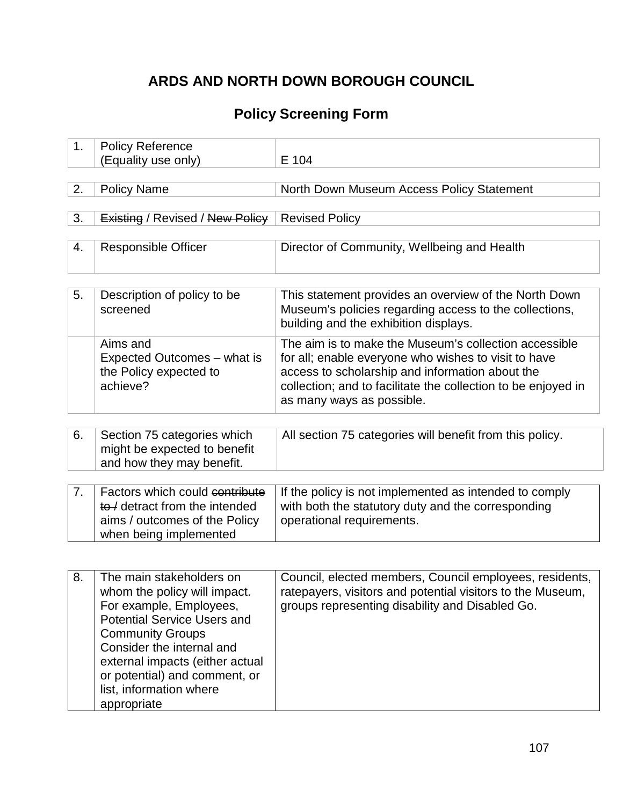# **ARDS AND NORTH DOWN BOROUGH COUNCIL**

# **Policy Screening Form**

| 1. | <b>Policy Reference</b>                                          |                                                                                                                 |
|----|------------------------------------------------------------------|-----------------------------------------------------------------------------------------------------------------|
|    | (Equality use only)                                              | E 104                                                                                                           |
|    |                                                                  |                                                                                                                 |
| 2. | <b>Policy Name</b>                                               | North Down Museum Access Policy Statement                                                                       |
|    |                                                                  |                                                                                                                 |
| 3. | <b>Existing / Revised / New Policy</b>                           | <b>Revised Policy</b>                                                                                           |
|    |                                                                  |                                                                                                                 |
| 4. | <b>Responsible Officer</b>                                       | Director of Community, Wellbeing and Health                                                                     |
|    |                                                                  |                                                                                                                 |
|    |                                                                  |                                                                                                                 |
| 5. | Description of policy to be<br>screened                          | This statement provides an overview of the North Down<br>Museum's policies regarding access to the collections, |
|    |                                                                  | building and the exhibition displays.                                                                           |
|    |                                                                  |                                                                                                                 |
|    | Aims and                                                         | The aim is to make the Museum's collection accessible                                                           |
|    | Expected Outcomes - what is<br>the Policy expected to            | for all; enable everyone who wishes to visit to have<br>access to scholarship and information about the         |
|    | achieve?                                                         | collection; and to facilitate the collection to be enjoyed in                                                   |
|    |                                                                  | as many ways as possible.                                                                                       |
|    |                                                                  |                                                                                                                 |
|    |                                                                  |                                                                                                                 |
| 6. | Section 75 categories which<br>might be expected to benefit      | All section 75 categories will benefit from this policy.                                                        |
|    | and how they may benefit.                                        |                                                                                                                 |
|    |                                                                  |                                                                                                                 |
| 7. | Factors which could contribute                                   | If the policy is not implemented as intended to comply                                                          |
|    | to / detract from the intended                                   | with both the statutory duty and the corresponding                                                              |
|    | aims / outcomes of the Policy                                    | operational requirements.                                                                                       |
|    | when being implemented                                           |                                                                                                                 |
|    |                                                                  |                                                                                                                 |
|    |                                                                  |                                                                                                                 |
| 8. | The main stakeholders on                                         | Council, elected members, Council employees, residents,                                                         |
|    | whom the policy will impact.<br>For example, Employees,          | ratepayers, visitors and potential visitors to the Museum.<br>groups representing disability and Disabled Go.   |
|    | <b>Potential Service Users and</b>                               |                                                                                                                 |
|    | <b>Community Groups</b>                                          |                                                                                                                 |
|    | Consider the internal and                                        |                                                                                                                 |
|    |                                                                  |                                                                                                                 |
|    |                                                                  |                                                                                                                 |
|    | list, information where                                          |                                                                                                                 |
|    | appropriate                                                      |                                                                                                                 |
|    | external impacts (either actual<br>or potential) and comment, or |                                                                                                                 |
|    |                                                                  |                                                                                                                 |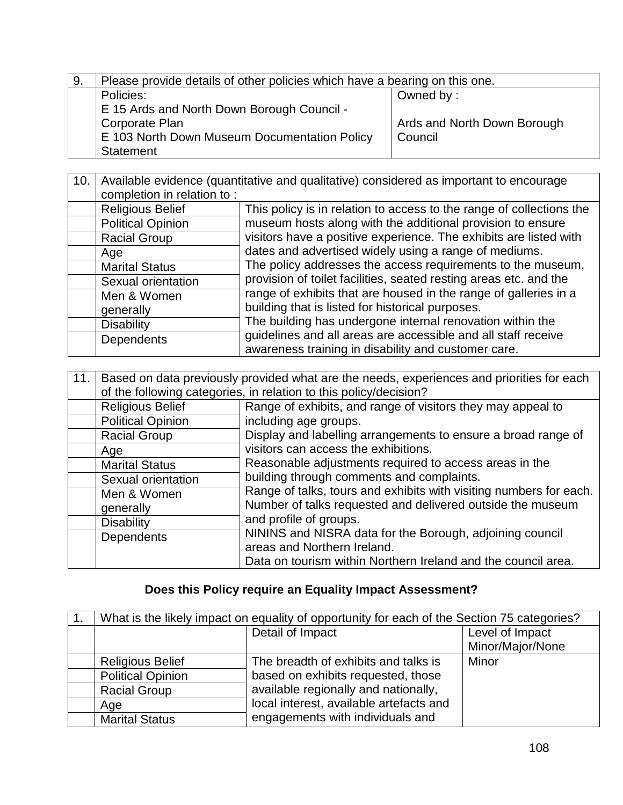| 9. | Please provide details of other policies which have a bearing on this one. |                             |
|----|----------------------------------------------------------------------------|-----------------------------|
|    | Policies:                                                                  | Owned by:                   |
|    | E 15 Ards and North Down Borough Council -                                 |                             |
|    | Corporate Plan                                                             | Ards and North Down Borough |
|    | E 103 North Down Museum Documentation Policy                               | Council                     |
|    | Statement                                                                  |                             |

#### 10. Available evidence (quantitative and qualitative) considered as important to encourage completion in relation to :<br>Religious Belief This policy is in relation to access to the range of collections the museum hosts along with the additional provision to ensure visitors have a positive experience. The exhibits are listed with dates and advertised widely using a range of mediums. The policy addresses the access requirements to the museum, provision of toilet facilities, seated resting areas etc. and the range of exhibits that are housed in the range of galleries in a building that is listed for historical purposes. The building has undergone internal renovation within the guidelines and all areas are accessible and all staff receive awareness training in disability and customer care. Political Opinion Racial Group Age Marital Status Sexual orientation Men & Women generally **Disability Dependents**

| 11. | Based on data previously provided what are the needs, experiences and priorities for each<br>of the following categories, in relation to this policy/decision? |                                                                                                                                                                                 |  |
|-----|----------------------------------------------------------------------------------------------------------------------------------------------------------------|---------------------------------------------------------------------------------------------------------------------------------------------------------------------------------|--|
|     | <b>Religious Belief</b>                                                                                                                                        | Range of exhibits, and range of visitors they may appeal to                                                                                                                     |  |
|     | <b>Political Opinion</b>                                                                                                                                       | including age groups.                                                                                                                                                           |  |
|     | <b>Racial Group</b>                                                                                                                                            | Display and labelling arrangements to ensure a broad range of                                                                                                                   |  |
|     | Age                                                                                                                                                            | visitors can access the exhibitions.                                                                                                                                            |  |
|     | <b>Marital Status</b>                                                                                                                                          | Reasonable adjustments required to access areas in the                                                                                                                          |  |
|     | Sexual orientation                                                                                                                                             | building through comments and complaints.                                                                                                                                       |  |
|     | Men & Women                                                                                                                                                    | Range of talks, tours and exhibits with visiting numbers for each.                                                                                                              |  |
|     | generally                                                                                                                                                      | Number of talks requested and delivered outside the museum<br>and profile of groups.<br>NININS and NISRA data for the Borough, adjoining council<br>areas and Northern Ireland. |  |
|     | <b>Disability</b>                                                                                                                                              |                                                                                                                                                                                 |  |
|     | <b>Dependents</b>                                                                                                                                              |                                                                                                                                                                                 |  |
|     |                                                                                                                                                                | Data on tourism within Northern Ireland and the council area.                                                                                                                   |  |

### **Does this Policy require an Equality Impact Assessment?**

| What is the likely impact on equality of opportunity for each of the Section 75 categories? |                                         |                  |
|---------------------------------------------------------------------------------------------|-----------------------------------------|------------------|
| Detail of Impact                                                                            |                                         | Level of Impact  |
|                                                                                             |                                         | Minor/Major/None |
| <b>Religious Belief</b>                                                                     | The breadth of exhibits and talks is    | Minor            |
| <b>Political Opinion</b>                                                                    | based on exhibits requested, those      |                  |
| <b>Racial Group</b>                                                                         | available regionally and nationally,    |                  |
| Age                                                                                         | local interest, available artefacts and |                  |
| <b>Marital Status</b>                                                                       | engagements with individuals and        |                  |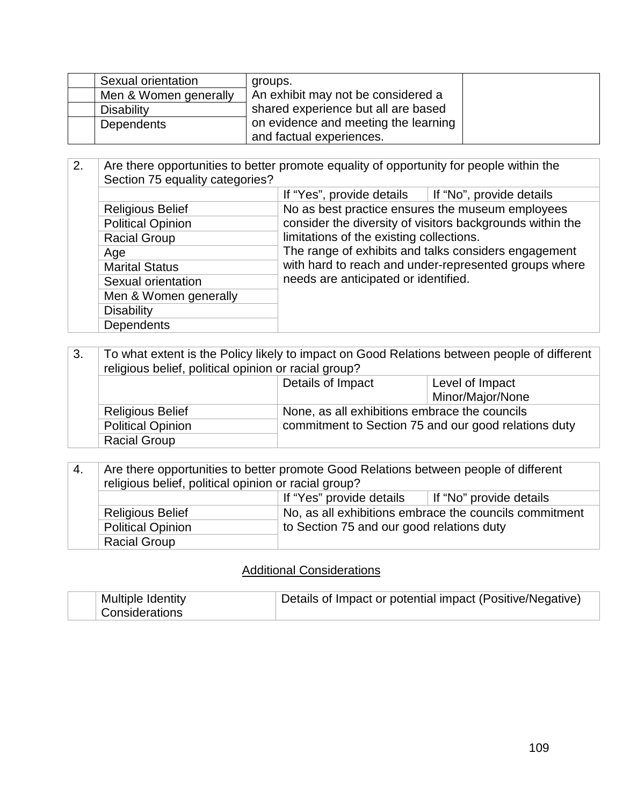| Sexual orientation    | groups.                              |  |
|-----------------------|--------------------------------------|--|
| Men & Women generally | An exhibit may not be considered a   |  |
| Disability            | shared experience but all are based  |  |
| Dependents            | on evidence and meeting the learning |  |
|                       | and factual experiences.             |  |

| 2. | Are there opportunities to better promote equality of opportunity for people within the<br>Section 75 equality categories? |                                                                                                                                                                                                   |                                                           |
|----|----------------------------------------------------------------------------------------------------------------------------|---------------------------------------------------------------------------------------------------------------------------------------------------------------------------------------------------|-----------------------------------------------------------|
|    |                                                                                                                            | If "Yes", provide details                                                                                                                                                                         | If "No", provide details                                  |
|    | <b>Religious Belief</b>                                                                                                    | No as best practice ensures the museum employees                                                                                                                                                  |                                                           |
|    | <b>Political Opinion</b>                                                                                                   |                                                                                                                                                                                                   | consider the diversity of visitors backgrounds within the |
|    | <b>Racial Group</b>                                                                                                        | limitations of the existing collections.<br>The range of exhibits and talks considers engagement<br>with hard to reach and under-represented groups where<br>needs are anticipated or identified. |                                                           |
|    | Age                                                                                                                        |                                                                                                                                                                                                   |                                                           |
|    | <b>Marital Status</b>                                                                                                      |                                                                                                                                                                                                   |                                                           |
|    | Sexual orientation                                                                                                         |                                                                                                                                                                                                   |                                                           |
|    | Men & Women generally                                                                                                      |                                                                                                                                                                                                   |                                                           |
|    | <b>Disability</b>                                                                                                          |                                                                                                                                                                                                   |                                                           |
|    | <b>Dependents</b>                                                                                                          |                                                                                                                                                                                                   |                                                           |

| 3.                                                                       | To what extent is the Policy likely to impact on Good Relations between people of different<br>religious belief, political opinion or racial group? |                   |                                                      |
|--------------------------------------------------------------------------|-----------------------------------------------------------------------------------------------------------------------------------------------------|-------------------|------------------------------------------------------|
|                                                                          |                                                                                                                                                     | Details of Impact | Level of Impact                                      |
|                                                                          |                                                                                                                                                     |                   | Minor/Major/None                                     |
| None, as all exhibitions embrace the councils<br><b>Religious Belief</b> |                                                                                                                                                     |                   |                                                      |
|                                                                          | <b>Political Opinion</b>                                                                                                                            |                   | commitment to Section 75 and our good relations duty |
|                                                                          | <b>Racial Group</b>                                                                                                                                 |                   |                                                      |

| -4.                                                                   | Are there opportunities to better promote Good Relations between people of different |  |  |  |
|-----------------------------------------------------------------------|--------------------------------------------------------------------------------------|--|--|--|
|                                                                       | religious belief, political opinion or racial group?                                 |  |  |  |
|                                                                       | If "Yes" provide details<br>If "No" provide details                                  |  |  |  |
|                                                                       | No, as all exhibitions embrace the councils commitment<br><b>Religious Belief</b>    |  |  |  |
| to Section 75 and our good relations duty<br><b>Political Opinion</b> |                                                                                      |  |  |  |
|                                                                       | <b>Racial Group</b>                                                                  |  |  |  |

## **Additional Considerations**

| Multiple Identity     | Details of Impact or potential impact (Positive/Negative) |
|-----------------------|-----------------------------------------------------------|
| <b>Considerations</b> |                                                           |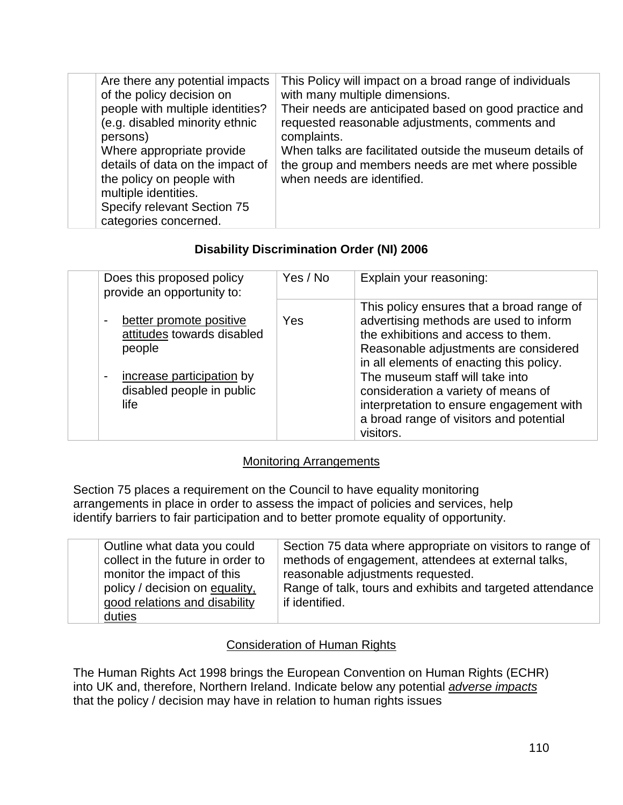| Are there any potential impacts<br>of the policy decision on<br>people with multiple identities?<br>(e.g. disabled minority ethnic<br>persons)<br>Where appropriate provide<br>details of data on the impact of<br>the policy on people with<br>multiple identities.<br>Specify relevant Section 75<br>categories concerned. | This Policy will impact on a broad range of individuals<br>with many multiple dimensions.<br>Their needs are anticipated based on good practice and<br>requested reasonable adjustments, comments and<br>complaints.<br>When talks are facilitated outside the museum details of<br>the group and members needs are met where possible<br>when needs are identified. |
|------------------------------------------------------------------------------------------------------------------------------------------------------------------------------------------------------------------------------------------------------------------------------------------------------------------------------|----------------------------------------------------------------------------------------------------------------------------------------------------------------------------------------------------------------------------------------------------------------------------------------------------------------------------------------------------------------------|

### **Disability Discrimination Order (NI) 2006**

| Does this proposed policy<br>provide an opportunity to:                                                                                             | Yes / No | Explain your reasoning:                                                                                                                                                                                                                                                                                                                                                                       |
|-----------------------------------------------------------------------------------------------------------------------------------------------------|----------|-----------------------------------------------------------------------------------------------------------------------------------------------------------------------------------------------------------------------------------------------------------------------------------------------------------------------------------------------------------------------------------------------|
| better promote positive<br>attitudes towards disabled<br>people<br>increase participation by<br>$\blacksquare$<br>disabled people in public<br>life | Yes      | This policy ensures that a broad range of<br>advertising methods are used to inform<br>the exhibitions and access to them.<br>Reasonable adjustments are considered<br>in all elements of enacting this policy.<br>The museum staff will take into<br>consideration a variety of means of<br>interpretation to ensure engagement with<br>a broad range of visitors and potential<br>visitors. |

### Monitoring Arrangements

Section 75 places a requirement on the Council to have equality monitoring arrangements in place in order to assess the impact of policies and services, help identify barriers to fair participation and to better promote equality of opportunity.

| Outline what data you could       | Section 75 data where appropriate on visitors to range of |
|-----------------------------------|-----------------------------------------------------------|
| collect in the future in order to | methods of engagement, attendees at external talks,       |
| monitor the impact of this        | reasonable adjustments requested.                         |
| policy / decision on equality,    | Range of talk, tours and exhibits and targeted attendance |
| good relations and disability     | if identified.                                            |
| duties                            |                                                           |

### Consideration of Human Rights

The Human Rights Act 1998 brings the European Convention on Human Rights (ECHR) into UK and, therefore, Northern Ireland. Indicate below any potential *adverse impacts* that the policy / decision may have in relation to human rights issues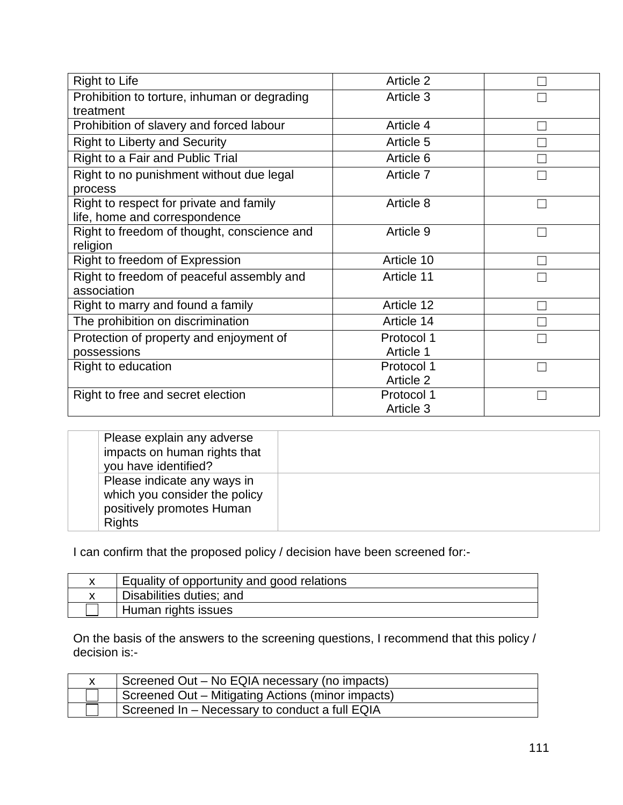| <b>Right to Life</b>                                                     | Article 2               |  |
|--------------------------------------------------------------------------|-------------------------|--|
| Prohibition to torture, inhuman or degrading<br>treatment                | Article 3               |  |
| Prohibition of slavery and forced labour                                 | Article 4               |  |
| <b>Right to Liberty and Security</b>                                     | Article 5               |  |
| Right to a Fair and Public Trial                                         | Article 6               |  |
| Right to no punishment without due legal<br>process                      | Article 7               |  |
| Right to respect for private and family<br>life, home and correspondence | Article 8               |  |
| Right to freedom of thought, conscience and<br>religion                  | Article 9               |  |
| Right to freedom of Expression                                           | Article 10              |  |
| Right to freedom of peaceful assembly and<br>association                 | Article 11              |  |
| Right to marry and found a family                                        | Article 12              |  |
| The prohibition on discrimination                                        | Article 14              |  |
| Protection of property and enjoyment of<br>possessions                   | Protocol 1<br>Article 1 |  |
| Right to education                                                       | Protocol 1              |  |
|                                                                          | Article 2               |  |
| Right to free and secret election                                        | Protocol 1<br>Article 3 |  |

| Please explain any adverse<br>impacts on human rights that<br>you have identified?                         |  |
|------------------------------------------------------------------------------------------------------------|--|
| Please indicate any ways in<br>which you consider the policy<br>positively promotes Human<br><b>Rights</b> |  |

I can confirm that the proposed policy / decision have been screened for:-

| Equality of opportunity and good relations |
|--------------------------------------------|
| Disabilities duties; and                   |
| Human rights issues                        |

On the basis of the answers to the screening questions, I recommend that this policy / decision is:-

| Screened Out – No EQIA necessary (no impacts)     |
|---------------------------------------------------|
| Screened Out - Mitigating Actions (minor impacts) |
| Screened In - Necessary to conduct a full EQIA    |